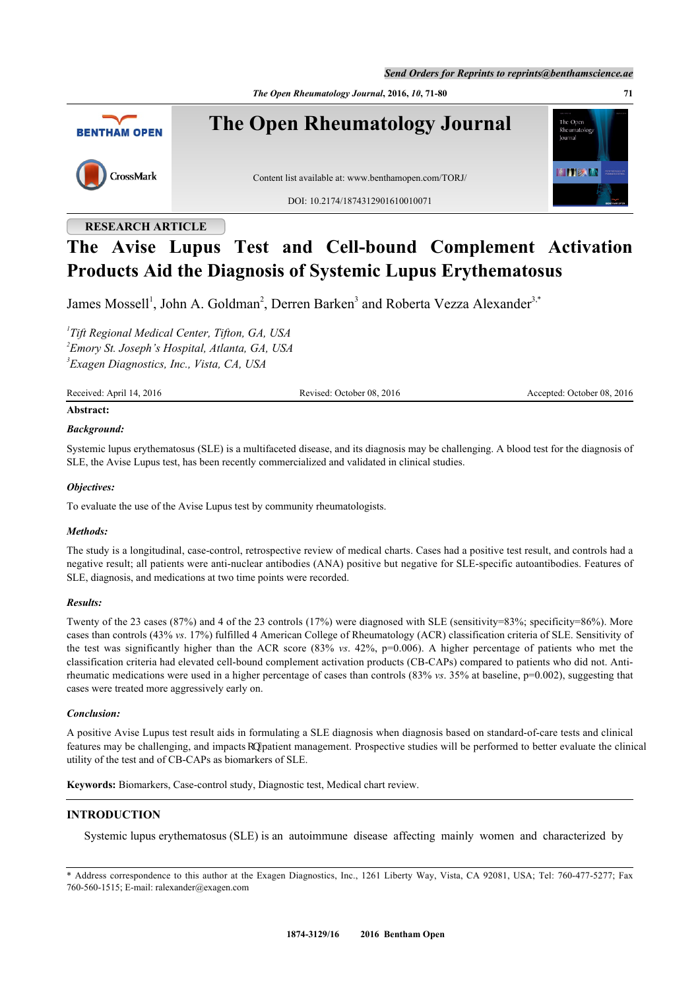*Send Orders for Reprints to reprints@benthamscience.ae*

*The Open Rheumatology Journal***, 2016,** *10***, 71-80 71**



# **RESEARCH ARTICLE**

# **The Avise Lupus Test and Cell-bound Complement Activation Products Aid the Diagnosis of Systemic Lupus Erythematosus**

James Mossell<sup>[1](#page-0-0)</sup>, John A. Goldman<sup>[2](#page-0-1)</sup>, Derren Barken<sup>[3](#page-0-2)</sup> and Roberta Vezza Alexander<sup>3[,\\*](#page-0-3)</sup>

<span id="page-0-2"></span><span id="page-0-1"></span><span id="page-0-0"></span>*1 Tift Regional Medical Center, Tifton, GA, USA 2 Emory St. Joseph's Hospital, Atlanta, GA, USA 3 Exagen Diagnostics, Inc., Vista, CA, USA*

Received: April 14, 2016 **Revised: October 08, 2016** Revised: October 08, 2016 **Accepted: October 08, 2016** 

# **Abstract:** *Background:*

Systemic lupus erythematosus (SLE) is a multifaceted disease, and its diagnosis may be challenging. A blood test for the diagnosis of SLE, the Avise Lupus test, has been recently commercialized and validated in clinical studies.

# *Objectives:*

To evaluate the use of the Avise Lupus test by community rheumatologists.

# *Methods:*

The study is a longitudinal, case-control, retrospective review of medical charts. Cases had a positive test result, and controls had a negative result; all patients were anti-nuclear antibodies (ANA) positive but negative for SLE-specific autoantibodies. Features of SLE, diagnosis, and medications at two time points were recorded.

# *Results:*

Twenty of the 23 cases (87%) and 4 of the 23 controls (17%) were diagnosed with SLE (sensitivity=83%; specificity=86%). More cases than controls (43% *vs*. 17%) fulfilled 4 American College of Rheumatology (ACR) classification criteria of SLE. Sensitivity of the test was significantly higher than the ACR score (83% *vs*. 42%, p=0.006). A higher percentage of patients who met the classification criteria had elevated cell-bound complement activation products (CB-CAPs) compared to patients who did not. Antirheumatic medications were used in a higher percentage of cases than controls (83% *vs*. 35% at baseline, p=0.002), suggesting that cases were treated more aggressively early on.

# *Conclusion:*

A positive Avise Lupus test result aids in formulating a SLE diagnosis when diagnosis based on standard-of-care tests and clinical features may be challenging, and impacts qp"patient management. Prospective studies will be performed to better evaluate the clinical utility of the test and of CB-CAPs as biomarkers of SLE.

**Keywords:** Biomarkers, Case-control study, Diagnostic test, Medical chart review.

# **INTRODUCTION**

Systemic lupus erythematosus (SLE) is an autoimmune disease affecting mainly women and characterized by

<span id="page-0-3"></span>\* Address correspondence to this author at the Exagen Diagnostics, Inc., 1261 Liberty Way, Vista, CA 92081, USA; Tel: 760-477-5277; Fax 760-560-1515; E-mail: [ralexander@exagen.com](mailto:ralexander@exagen.com)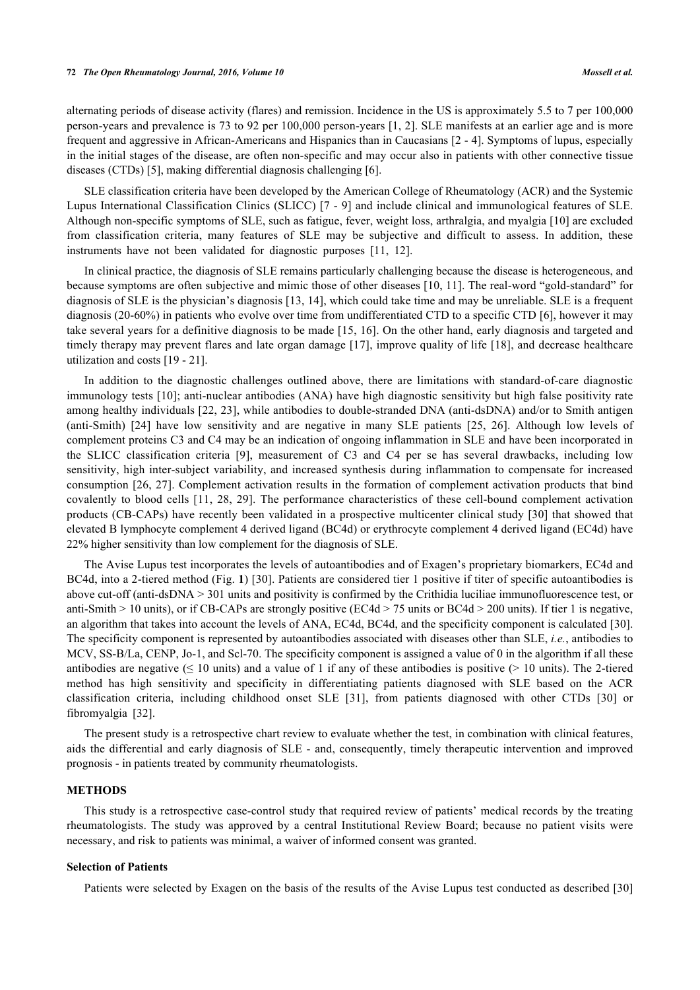#### **72** *The Open Rheumatology Journal, 2016, Volume 10 Mossell et al.*

alternating periods of disease activity (flares) and remission. Incidence in the US is approximately 5.5 to 7 per 100,000 person-years and prevalence is 73 to 92 per 100,000 person-years [[1,](#page-7-0) [2\]](#page-7-1). SLE manifests at an earlier age and is more frequent and aggressive in African-Americans and Hispanics than in Caucasians [\[2](#page-7-1) - [4](#page-7-2)]. Symptoms of lupus, especially in the initial stages of the disease, are often non-specific and may occur also in patients with other connective tissue diseases (CTDs) [\[5](#page-7-3)], making differential diagnosis challenging [[6\]](#page-7-4).

SLE classification criteria have been developed by the American College of Rheumatology (ACR) and the Systemic Lupus International Classification Clinics (SLICC) [[7](#page-7-5) - [9\]](#page-7-6) and include clinical and immunological features of SLE. Although non-specific symptoms of SLE, such as fatigue, fever, weight loss, arthralgia, and myalgia [[10](#page-7-7)] are excluded from classification criteria, many features of SLE may be subjective and difficult to assess. In addition, these instruments have not been validated for diagnostic purposes [\[11](#page-8-0), [12](#page-8-1)].

In clinical practice, the diagnosis of SLE remains particularly challenging because the disease is heterogeneous, and because symptoms are often subjective and mimic those of other diseases [[10,](#page-7-7) [11](#page-8-0)]. The real-word "gold-standard" for diagnosis of SLE is the physician's diagnosis [\[13,](#page-8-2) [14\]](#page-8-3), which could take time and may be unreliable. SLE is a frequent diagnosis (20-60%) in patients who evolve over time from undifferentiated CTD to a specific CTD [\[6](#page-7-4)], however it may take several years for a definitive diagnosis to be made [[15,](#page-8-4) [16\]](#page-8-5). On the other hand, early diagnosis and targeted and timely therapy may prevent flares and late organ damage [[17](#page-8-6)], improve quality of life [[18](#page-8-7)], and decrease healthcare utilization and costs [[19](#page-8-8) - [21\]](#page-8-9).

In addition to the diagnostic challenges outlined above, there are limitations with standard-of-care diagnostic immunology tests [[10](#page-7-7)]; anti-nuclear antibodies (ANA) have high diagnostic sensitivity but high false positivity rate among healthy individuals [[22](#page-8-10), [23\]](#page-8-11), while antibodies to double-stranded DNA (anti-dsDNA) and/or to Smith antigen (anti-Smith) [[24\]](#page-8-12) have low sensitivity and are negative in many SLE patients[[25,](#page-8-13) [26](#page-8-14)]. Although low levels of complement proteins C3 and C4 may be an indication of ongoing inflammation in SLE and have been incorporated in the SLICC classification criteria[[9](#page-7-6)], measurement of C3 and C4 per se has several drawbacks, including low sensitivity, high inter-subject variability, and increased synthesis during inflammation to compensate for increased consumption [\[26,](#page-8-14) [27\]](#page-8-15). Complement activation results in the formation of complement activation products that bind covalently to blood cells [\[11](#page-8-0), [28](#page-8-16), [29\]](#page-8-17). The performance characteristics of these cell-bound complement activation products (CB-CAPs) have recently been validated in a prospective multicenter clini[cal](#page-8-18) study [30] that showed that elevated B lymphocyte complement 4 derived ligand (BC4d) or erythrocyte complement 4 derived ligand (EC4d) have 22% higher sensitivity than low complement for the diagnosis of SLE.

The Avise Lupus test incorporates the levels of autoantibodies and of Exagen's proprietary biomarkers, EC4d and BC4d, into a 2-tiered method (Fig. **[1](#page-2-0)**) [[30\]](#page-8-18). Patients are considered tier 1 positive if titer of specific autoantibodies is above cut-off (anti-dsDNA > 301 units and positivity is confirmed by the Crithidia luciliae immunofluorescence test, or anti-Smith > 10 units), or if CB-CAPs are strongly positive (EC4d > 75 units or BC4d > 200 units). If tier 1 is negative, an algorithm that takes into account the levels of ANA, EC4d, BC4d, and the specificity component is calculated [[30\]](#page-8-18). The specificity component is represented by autoantibodies associated with diseases other than SLE, *i.e.*, antibodies to MCV, SS-B/La, CENP, Jo-1, and Scl-70. The specificity component is assigned a value of 0 in the algorithm if all these antibodies are negative ( $\leq 10$  units) and a value of 1 if any of these antibodies is positive ( $> 10$  units). The 2-tiered method has high sensitivity and specificity in differentiating patients diagnosed with SLE based on the ACR classification criteria, including childhood onset SLE [\[31\]](#page-9-0), from patients diagnosed with other CTDs [\[30](#page-8-18)] or fibromyalgia [\[32](#page-9-1)].

The present study is a retrospective chart review to evaluate whether the test, in combination with clinical features, aids the differential and early diagnosis of SLE - and, consequently, timely therapeutic intervention and improved prognosis - in patients treated by community rheumatologists.

# **METHODS**

This study is a retrospective case-control study that required review of patients' medical records by the treating rheumatologists. The study was approved by a central Institutional Review Board; because no patient visits were necessary, and risk to patients was minimal, a waiver of informed consent was granted.

#### **Selection of Patients**

Patients were selected by Exagen on the basis of the results of the Avise Lupus test conducted as described [[30](#page-8-18)]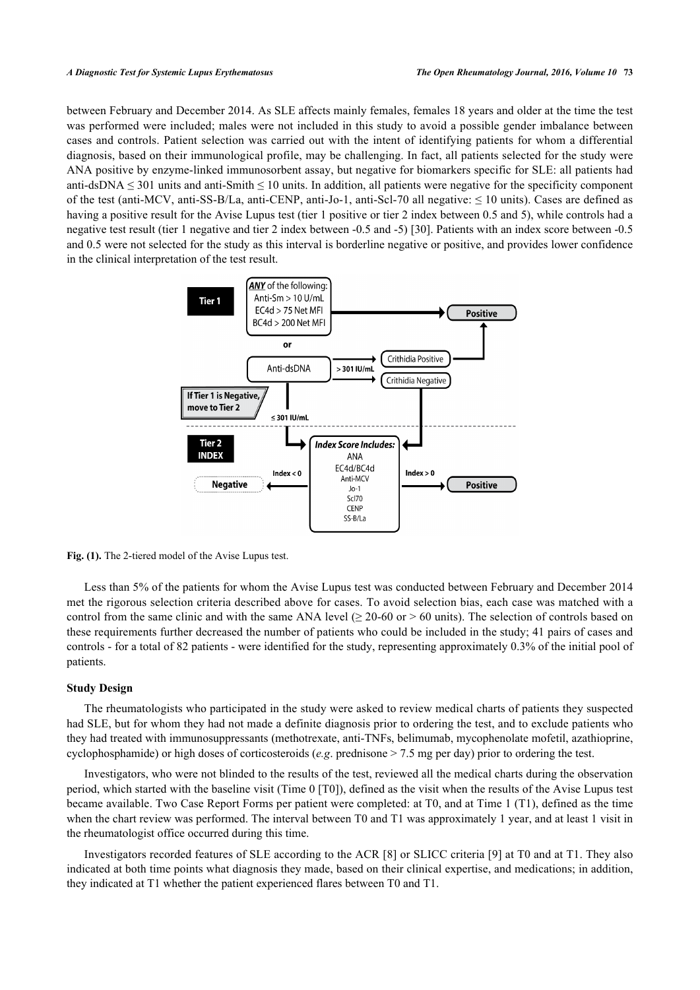between February and December 2014. As SLE affects mainly females, females 18 years and older at the time the test was performed were included; males were not included in this study to avoid a possible gender imbalance between cases and controls. Patient selection was carried out with the intent of identifying patients for whom a differential diagnosis, based on their immunological profile, may be challenging. In fact, all patients selected for the study were ANA positive by enzyme-linked immunosorbent assay, but negative for biomarkers specific for SLE: all patients had anti-dsDNA  $\leq$  301 units and anti-Smith  $\leq$  10 units. In addition, all patients were negative for the specificity component of the test (anti-MCV, anti-SS-B/La, anti-CENP, anti-Jo-1, anti-Scl-70 all negative:  $\leq 10$  units). Cases are defined as having a positive result for the Avise Lupus test (tier 1 positive or tier 2 index between 0.5 and 5), while controls had a negative test result (tier 1 negative and tier 2 index between -0.5 and -5) [[30\]](#page-8-18). Patients with an index score between -0.5 and 0.5 were not selected for the study as this interval is borderline negative or positive, and provides lower confidence in the clinical interpretation of the test result.

<span id="page-2-0"></span>

**Fig. (1).** The 2-tiered model of the Avise Lupus test.

Less than 5% of the patients for whom the Avise Lupus test was conducted between February and December 2014 met the rigorous selection criteria described above for cases. To avoid selection bias, each case was matched with a control from the same clinic and with the same ANA level  $(≥ 20-60$  or  $> 60$  units). The selection of controls based on these requirements further decreased the number of patients who could be included in the study; 41 pairs of cases and controls - for a total of 82 patients - were identified for the study, representing approximately 0.3% of the initial pool of patients.

# **Study Design**

The rheumatologists who participated in the study were asked to review medical charts of patients they suspected had SLE, but for whom they had not made a definite diagnosis prior to ordering the test, and to exclude patients who they had treated with immunosuppressants (methotrexate, anti-TNFs, belimumab, mycophenolate mofetil, azathioprine, cyclophosphamide) or high doses of corticosteroids (*e.g*. prednisone > 7.5 mg per day) prior to ordering the test.

Investigators, who were not blinded to the results of the test, reviewed all the medical charts during the observation period, which started with the baseline visit (Time 0 [T0]), defined as the visit when the results of the Avise Lupus test became available. Two Case Report Forms per patient were completed: at T0, and at Time 1 (T1), defined as the time when the chart review was performed. The interval between T0 and T1 was approximately 1 year, and at least 1 visit in the rheumatologist office occurred during this time.

Investigators recorded features of SLE according to the ACR [\[8](#page-7-8)] or SLICC criteria [[9\]](#page-7-6) at T0 and at T1. They also indicated at both time points what diagnosis they made, based on their clinical expertise, and medications; in addition, they indicated at T1 whether the patient experienced flares between T0 and T1.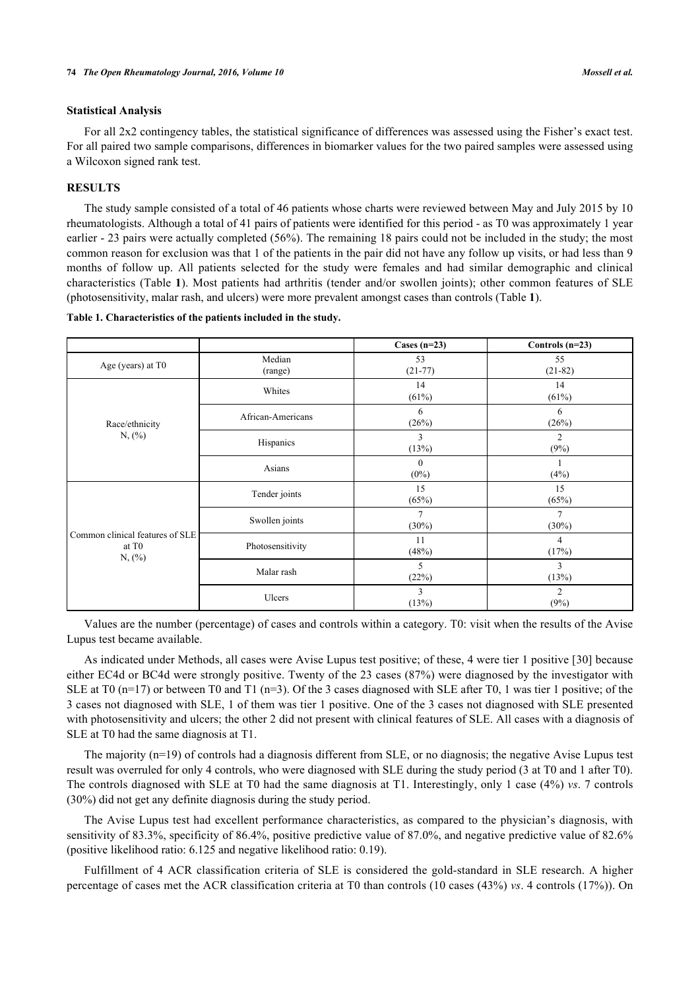# **Statistical Analysis**

For all 2x2 contingency tables, the statistical significance of differences was assessed using the Fisher's exact test. For all paired two sample comparisons, differences in biomarker values for the two paired samples were assessed using a Wilcoxon signed rank test.

# **RESULTS**

The study sample consisted of a total of 46 patients whose charts were reviewed between May and July 2015 by 10 rheumatologists. Although a total of 41 pairs of patients were identified for this period - as T0 was approximately 1 year earlier - 23 pairs were actually completed (56%). The remaining 18 pairs could not be included in the study; the most common reason for exclusion was that 1 of the patients in the pair did not have any follow up visits, or had less than 9 months of follow up. All patients selected for the study were females and had similar demographic and clinical characteristics (Table **[1](#page-3-0)**). Most patients had arthritis (tender and/or swollen joints); other common features of SLE (photosensitivity, malar rash, and ulcers) were more prevalent amongst cases than controls (Table **[1](#page-3-0)**).

<span id="page-3-0"></span>

| Table 1. Characteristics of the patients included in the study. |  |  |  |
|-----------------------------------------------------------------|--|--|--|
|                                                                 |  |  |  |

|                                                                |                   | Cases $(n=23)$             | Controls $(n=23)$          |
|----------------------------------------------------------------|-------------------|----------------------------|----------------------------|
| Age (years) at T0                                              | Median<br>(range) | 53<br>$(21-77)$            | 55<br>$(21-82)$            |
|                                                                | Whites            | 14<br>(61%)                | 14<br>(61%)                |
| Race/ethnicity                                                 | African-Americans | 6<br>(26%)                 | 6<br>(26%)                 |
| $N,$ $\left(\frac{9}{0}\right)$                                | Hispanics         | 3<br>(13%)                 | 2<br>(9%)                  |
|                                                                | Asians            | $\Omega$<br>$(0\%)$        | (4%)                       |
| Common clinical features of SLE<br>at T <sub>0</sub><br>N, (%) | Tender joints     | 15<br>(65%)                | 15<br>(65%)                |
|                                                                | Swollen joints    | $\overline{7}$<br>$(30\%)$ | $\overline{7}$<br>$(30\%)$ |
|                                                                | Photosensitivity  | 11<br>(48%)                | 4<br>(17%)                 |
|                                                                | Malar rash        | 5<br>(22%)                 | 3<br>(13%)                 |
|                                                                | Ulcers            | 3<br>(13%)                 | $\overline{2}$<br>(9%)     |

Values are the number (percentage) of cases and controls within a category. T0: visit when the results of the Avise Lupus test became available.

As indicated under Methods, all cases were Avise Lupus test positive; of these, 4 were tier 1 positive [\[30](#page-8-18)] because either EC4d or BC4d were strongly positive. Twenty of the 23 cases (87%) were diagnosed by the investigator with SLE at T0 (n=17) or between T0 and T1 (n=3). Of the 3 cases diagnosed with SLE after T0, 1 was tier 1 positive; of the 3 cases not diagnosed with SLE, 1 of them was tier 1 positive. One of the 3 cases not diagnosed with SLE presented with photosensitivity and ulcers; the other 2 did not present with clinical features of SLE. All cases with a diagnosis of SLE at T0 had the same diagnosis at T1.

The majority (n=19) of controls had a diagnosis different from SLE, or no diagnosis; the negative Avise Lupus test result was overruled for only 4 controls, who were diagnosed with SLE during the study period (3 at T0 and 1 after T0). The controls diagnosed with SLE at T0 had the same diagnosis at T1. Interestingly, only 1 case (4%) *vs*. 7 controls (30%) did not get any definite diagnosis during the study period.

The Avise Lupus test had excellent performance characteristics, as compared to the physician's diagnosis, with sensitivity of 83.3%, specificity of 86.4%, positive predictive value of 87.0%, and negative predictive value of 82.6% (positive likelihood ratio: 6.125 and negative likelihood ratio: 0.19).

Fulfillment of 4 ACR classification criteria of SLE is considered the gold-standard in SLE research. A higher percentage of cases met the ACR classification criteria at T0 than controls (10 cases (43%) *vs*. 4 controls (17%)). On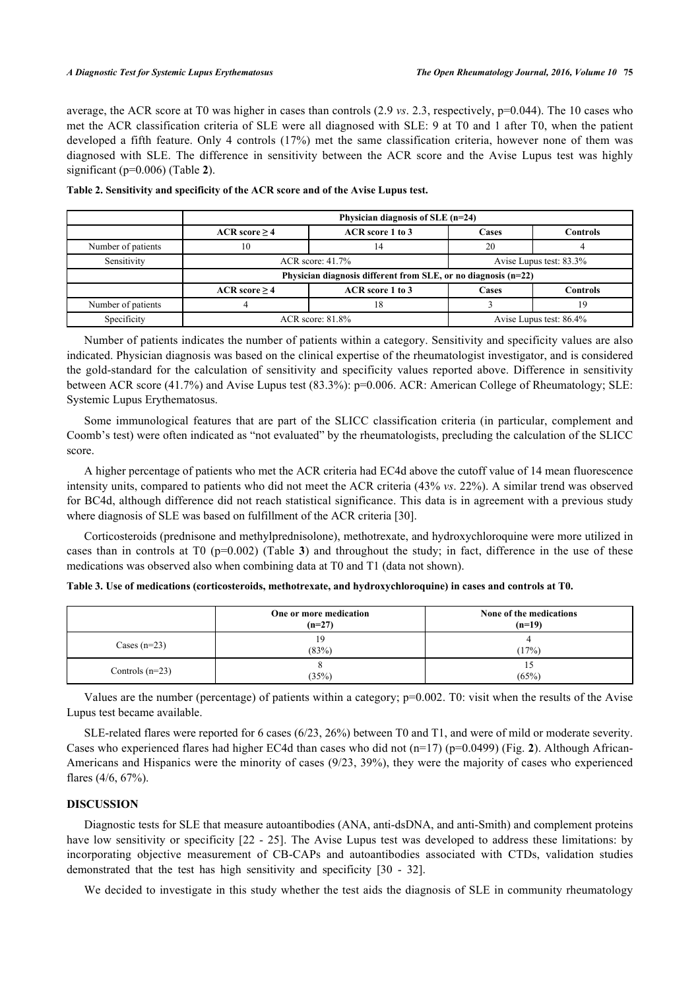average, the ACR score at T0 was higher in cases than controls (2.9 *vs*. 2.3, respectively, p=0.044). The 10 cases who met the ACR classification criteria of SLE were all diagnosed with SLE: 9 at T0 and 1 after T0, when the patient developed a fifth feature. Only 4 controls (17%) met the same classification criteria, however none of them was diagnosed with SLE. The difference in sensitivity between the ACR score and the Avise Lupus test was highly significant (p=0.006) (Table **[2](#page-4-0)**).

|                    | Physician diagnosis of SLE (n=24)                              |                  |       |                 |  |  |
|--------------------|----------------------------------------------------------------|------------------|-------|-----------------|--|--|
|                    | ACR score > 4                                                  | ACR score 1 to 3 |       | <b>Controls</b> |  |  |
| Number of patients | 10                                                             | 14               |       |                 |  |  |
| Sensitivity        | $ACR$ score: $41.7\%$<br>Avise Lupus test: 83.3%               |                  |       |                 |  |  |
|                    | Physician diagnosis different from SLE, or no diagnosis (n=22) |                  |       |                 |  |  |
|                    | ACR score $\geq$ 4                                             | ACR score 1 to 3 | Cases | Controls        |  |  |
| Number of patients |                                                                |                  |       |                 |  |  |
| Specificity        | $ACR$ score: $81.8\%$<br>Avise Lupus test: 86.4%               |                  |       |                 |  |  |

<span id="page-4-0"></span>

|  |  | Table 2. Sensitivity and specificity of the ACR score and of the Avise Lupus test. |  |
|--|--|------------------------------------------------------------------------------------|--|
|  |  |                                                                                    |  |

Number of patients indicates the number of patients within a category. Sensitivity and specificity values are also indicated. Physician diagnosis was based on the clinical expertise of the rheumatologist investigator, and is considered the gold-standard for the calculation of sensitivity and specificity values reported above. Difference in sensitivity between ACR score (41.7%) and Avise Lupus test (83.3%): p=0.006. ACR: American College of Rheumatology; SLE: Systemic Lupus Erythematosus.

Some immunological features that are part of the SLICC classification criteria (in particular, complement and Coomb's test) were often indicated as "not evaluated" by the rheumatologists, precluding the calculation of the SLICC score.

A higher percentage of patients who met the ACR criteria had EC4d above the cutoff value of 14 mean fluorescence intensity units, compared to patients who did not meet the ACR criteria (43% *vs*. 22%). A similar trend was observed for BC4d, although difference did not reach statistical significance. This data is in agreement with a previous study where diagnosis of SLE was based on fulfillment of the ACR criteria [[30\]](#page-8-18).

Corticosteroids (prednisone and methylprednisolone), methotrexate, and hydroxychloroquine were more utilized in casesthan in controls at  $T0$  ( $p=0.002$ ) (Table **3**) and throughout the study; in fact, difference in the use of these medications was observed also when combining data at T0 and T1 (data not shown).

<span id="page-4-1"></span>

| Table 3. Use of medications (corticosteroids, methotrexate, and hydroxychloroquine) in cases and controls at T0. |  |  |  |  |  |  |
|------------------------------------------------------------------------------------------------------------------|--|--|--|--|--|--|
|------------------------------------------------------------------------------------------------------------------|--|--|--|--|--|--|

|                   | One or more medication<br>$(n=27)$ | None of the medications<br>$(n=19)$ |
|-------------------|------------------------------------|-------------------------------------|
| Cases $(n=23)$    | 19<br>(83%)                        | (17%)                               |
| Controls $(n=23)$ | (35%)                              | IJ<br>(65%)                         |

Values are the number (percentage) of patients within a category; p=0.002. T0: visit when the results of the Avise Lupus test became available.

SLE-related flares were reported for 6 cases (6/23, 26%) between T0 and T1, and were of mild or moderate severity. Cases who experienced flares had higher EC4d than cases who did not (n=17) (p=0.0499) (Fig. **[2](#page-5-0)**). Although African-Americans and Hispanics were the minority of cases (9/23, 39%), they were the majority of cases who experienced flares (4/6, 67%).

# **DISCUSSION**

Diagnostic tests for SLE that measure autoantibodies (ANA, anti-dsDNA, and anti-Smith) and complement proteins have low sensitivity or specificity  $[22 - 25]$  $[22 - 25]$  $[22 - 25]$  $[22 - 25]$ . The Avise Lupus test was developed to address these limitations: by incorporating objective measurement of CB-CAPs and autoantibodies associated with CTDs, validation studies demonstrated that the test has high sensitivity and specificity[[30](#page-8-18) - [32](#page-9-1)].

We decided to investigate in this study whether the test aids the diagnosis of SLE in community rheumatology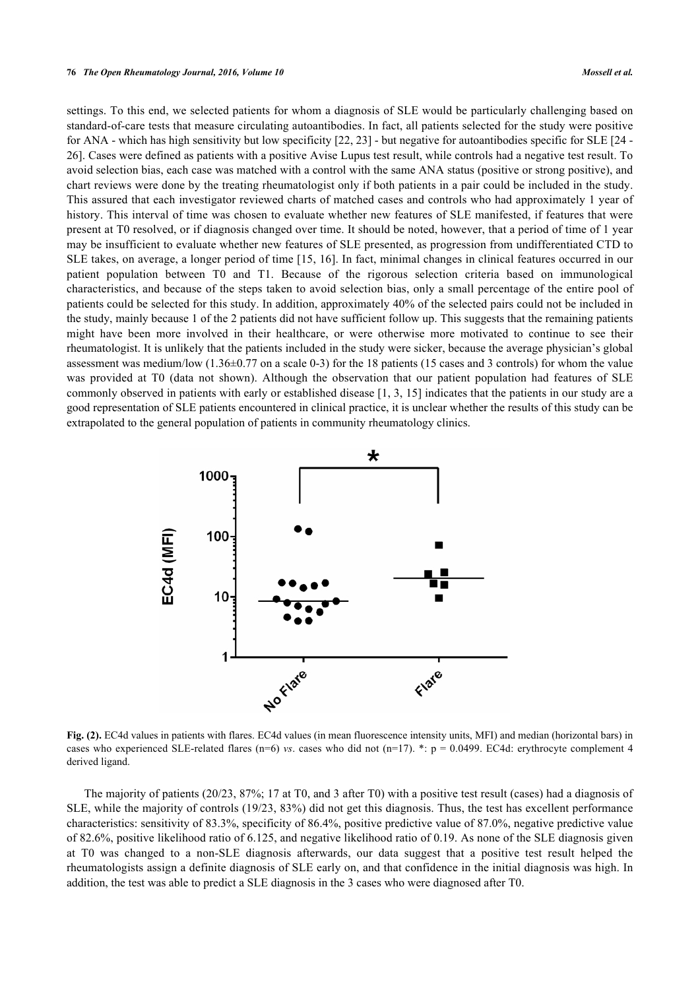settings. To this end, we selected patients for whom a diagnosis of SLE would be particularly challenging based on standard-of-care tests that measure circulating autoantibodies. In fact, all patients selected for the study were positive for ANA - which has high sensitivity but low specificity [[22,](#page-8-10) [23\]](#page-8-11) - but negative for autoantibodies specific for SLE [[24](#page-8-12) - [26\]](#page-8-14). Cases were defined as patients with a positive Avise Lupus test result, while controls had a negative test result. To avoid selection bias, each case was matched with a control with the same ANA status (positive or strong positive), and chart reviews were done by the treating rheumatologist only if both patients in a pair could be included in the study. This assured that each investigator reviewed charts of matched cases and controls who had approximately 1 year of history. This interval of time was chosen to evaluate whether new features of SLE manifested, if features that were present at T0 resolved, or if diagnosis changed over time. It should be noted, however, that a period of time of 1 year may be insufficient to evaluate whether new features of SLE presented, as progression from undifferentiated CTD to SLE takes, on average, a longer period of time [[15](#page-8-4), [16](#page-8-5)]. In fact, minimal changes in clinical features occurred in our patient population between T0 and T1. Because of the rigorous selection criteria based on immunological characteristics, and because of the steps taken to avoid selection bias, only a small percentage of the entire pool of patients could be selected for this study. In addition, approximately 40% of the selected pairs could not be included in the study, mainly because 1 of the 2 patients did not have sufficient follow up. This suggests that the remaining patients might have been more involved in their healthcare, or were otherwise more motivated to continue to see their rheumatologist. It is unlikely that the patients included in the study were sicker, because the average physician's global assessment was medium/low  $(1.36\pm0.77$  on a scale 0-3) for the 18 patients (15 cases and 3 controls) for whom the value was provided at T0 (data not shown). Although the observation that our patient population had features of SLE commonly observed in patients with early or established disease [[1,](#page-7-0) [3](#page-7-9), [15](#page-8-4)] indicates that the patients in our study are a good representation of SLE patients encountered in clinical practice, it is unclear whether the results of this study can be extrapolated to the general population of patients in community rheumatology clinics.

<span id="page-5-0"></span>

**Fig. (2).** EC4d values in patients with flares. EC4d values (in mean fluorescence intensity units, MFI) and median (horizontal bars) in cases who experienced SLE-related flares (n=6) *vs*. cases who did not (n=17). \*: p = 0.0499. EC4d: erythrocyte complement 4 derived ligand.

The majority of patients (20/23, 87%; 17 at T0, and 3 after T0) with a positive test result (cases) had a diagnosis of SLE, while the majority of controls (19/23, 83%) did not get this diagnosis. Thus, the test has excellent performance characteristics: sensitivity of 83.3%, specificity of 86.4%, positive predictive value of 87.0%, negative predictive value of 82.6%, positive likelihood ratio of 6.125, and negative likelihood ratio of 0.19. As none of the SLE diagnosis given at T0 was changed to a non-SLE diagnosis afterwards, our data suggest that a positive test result helped the rheumatologists assign a definite diagnosis of SLE early on, and that confidence in the initial diagnosis was high. In addition, the test was able to predict a SLE diagnosis in the 3 cases who were diagnosed after T0.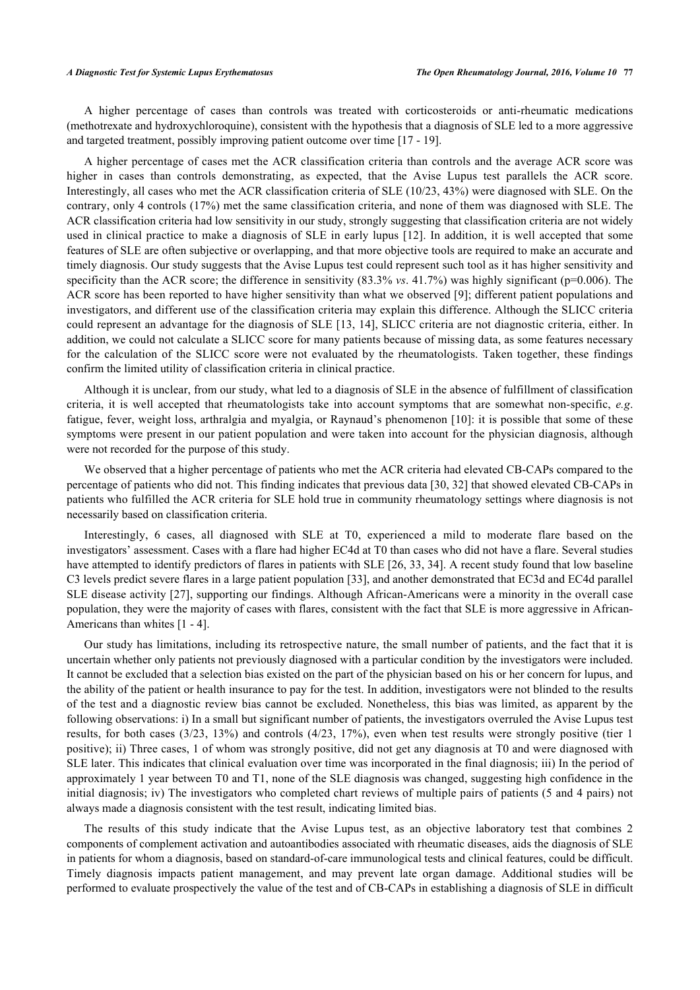A higher percentage of cases than controls was treated with corticosteroids or anti-rheumatic medications (methotrexate and hydroxychloroquine), consistent with the hypothesis that a diagnosis of SLE led to a more aggressive and targeted treatment, possibly improving patient outcome over time [[17](#page-8-6) - [19\]](#page-8-8).

A higher percentage of cases met the ACR classification criteria than controls and the average ACR score was higher in cases than controls demonstrating, as expected, that the Avise Lupus test parallels the ACR score. Interestingly, all cases who met the ACR classification criteria of SLE (10/23, 43%) were diagnosed with SLE. On the contrary, only 4 controls (17%) met the same classification criteria, and none of them was diagnosed with SLE. The ACR classification criteria had low sensitivity in our study, strongly suggesting that classification criteria are not widely used in clinical practice to make a diagnosis of SLE in early lupus [\[12\]](#page-8-1). In addition, it is well accepted that some features of SLE are often subjective or overlapping, and that more objective tools are required to make an accurate and timely diagnosis. Our study suggests that the Avise Lupus test could represent such tool as it has higher sensitivity and specificity than the ACR score; the difference in sensitivity  $(83.3\% \text{ vs. } 41.7\%)$  was highly significant (p=0.006). The ACR score has been reported to have higher sensitivity than what we observed [[9\]](#page-7-6); different patient populations and investigators, and different use of the classification criteria may explain this difference. Although the SLICC criteria could represent an advantage for the diagnosis of SLE [[13,](#page-8-2) [14\]](#page-8-3), SLICC criteria are not diagnostic criteria, either. In addition, we could not calculate a SLICC score for many patients because of missing data, as some features necessary for the calculation of the SLICC score were not evaluated by the rheumatologists. Taken together, these findings confirm the limited utility of classification criteria in clinical practice.

Although it is unclear, from our study, what led to a diagnosis of SLE in the absence of fulfillment of classification criteria, it is well accepted that rheumatologists take into account symptoms that are somewhat non-specific, *e.g*. fatigue, fever, weight loss, arthralgia and myalgia, or Raynaud's phenomenon [\[10\]](#page-7-7): it is possible that some of these symptoms were present in our patient population and were taken into account for the physician diagnosis, although were not recorded for the purpose of this study.

We observed that a higher percentage of patients who met the ACR criteria had elevated CB-CAPs compared to the percentage of patients who did not. This finding indicates that previous data [[30,](#page-8-18) [32\]](#page-9-1) that showed elevated CB-CAPs in patients who fulfilled the ACR criteria for SLE hold true in community rheumatology settings where diagnosis is not necessarily based on classification criteria.

Interestingly, 6 cases, all diagnosed with SLE at T0, experienced a mild to moderate flare based on the investigators' assessment. Cases with a flare had higher EC4d at T0 than cases who did not have a flare. Several studies have attempted to identify predictors of flares in patients with SLE [\[26](#page-8-14), [33,](#page-9-2) [34\]](#page-9-3). A recent study found that low baseline C3 levels predict severe flares in a large patient population [[33\]](#page-9-2), and another demonstrated that EC3d and EC4d parallel SLE disease activity [[27](#page-8-15)], supporting our findings. Although African-Americans were a minority in the overall case population, they were the majority of cases with flares, consistent with the fact that SLE is more aggressive in African-Americans than whites [\[1](#page-7-0) - [4\]](#page-7-2).

Our study has limitations, including its retrospective nature, the small number of patients, and the fact that it is uncertain whether only patients not previously diagnosed with a particular condition by the investigators were included. It cannot be excluded that a selection bias existed on the part of the physician based on his or her concern for lupus, and the ability of the patient or health insurance to pay for the test. In addition, investigators were not blinded to the results of the test and a diagnostic review bias cannot be excluded. Nonetheless, this bias was limited, as apparent by the following observations: i) In a small but significant number of patients, the investigators overruled the Avise Lupus test results, for both cases (3/23, 13%) and controls (4/23, 17%), even when test results were strongly positive (tier 1 positive); ii) Three cases, 1 of whom was strongly positive, did not get any diagnosis at T0 and were diagnosed with SLE later. This indicates that clinical evaluation over time was incorporated in the final diagnosis; iii) In the period of approximately 1 year between T0 and T1, none of the SLE diagnosis was changed, suggesting high confidence in the initial diagnosis; iv) The investigators who completed chart reviews of multiple pairs of patients (5 and 4 pairs) not always made a diagnosis consistent with the test result, indicating limited bias.

The results of this study indicate that the Avise Lupus test, as an objective laboratory test that combines 2 components of complement activation and autoantibodies associated with rheumatic diseases, aids the diagnosis of SLE in patients for whom a diagnosis, based on standard-of-care immunological tests and clinical features, could be difficult. Timely diagnosis impacts patient management, and may prevent late organ damage. Additional studies will be performed to evaluate prospectively the value of the test and of CB-CAPs in establishing a diagnosis of SLE in difficult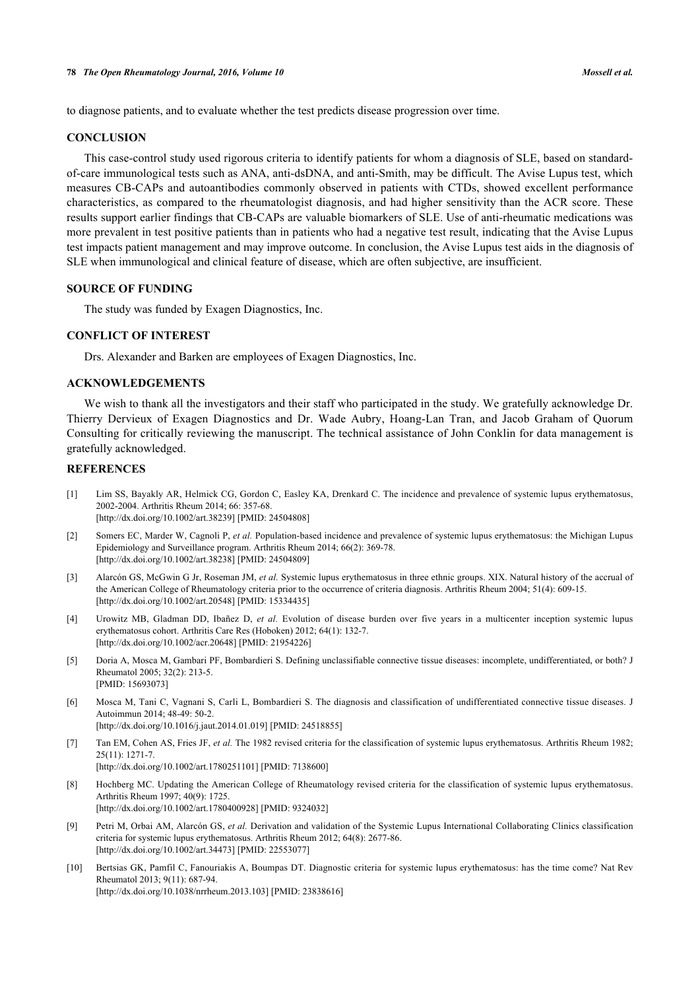to diagnose patients, and to evaluate whether the test predicts disease progression over time.

# **CONCLUSION**

This case-control study used rigorous criteria to identify patients for whom a diagnosis of SLE, based on standardof-care immunological tests such as ANA, anti-dsDNA, and anti-Smith, may be difficult. The Avise Lupus test, which measures CB-CAPs and autoantibodies commonly observed in patients with CTDs, showed excellent performance characteristics, as compared to the rheumatologist diagnosis, and had higher sensitivity than the ACR score. These results support earlier findings that CB-CAPs are valuable biomarkers of SLE. Use of anti-rheumatic medications was more prevalent in test positive patients than in patients who had a negative test result, indicating that the Avise Lupus test impacts patient management and may improve outcome. In conclusion, the Avise Lupus test aids in the diagnosis of SLE when immunological and clinical feature of disease, which are often subjective, are insufficient.

# **SOURCE OF FUNDING**

The study was funded by Exagen Diagnostics, Inc.

#### **CONFLICT OF INTEREST**

Drs. Alexander and Barken are employees of Exagen Diagnostics, Inc.

# **ACKNOWLEDGEMENTS**

We wish to thank all the investigators and their staff who participated in the study. We gratefully acknowledge Dr. Thierry Dervieux of Exagen Diagnostics and Dr. Wade Aubry, Hoang-Lan Tran, and Jacob Graham of Quorum Consulting for critically reviewing the manuscript. The technical assistance of John Conklin for data management is gratefully acknowledged.

# **REFERENCES**

- <span id="page-7-0"></span>[1] Lim SS, Bayakly AR, Helmick CG, Gordon C, Easley KA, Drenkard C. The incidence and prevalence of systemic lupus erythematosus, 2002-2004. Arthritis Rheum 2014; 66: 357-68. [\[http://dx.doi.org/10.1002/art.38239](http://dx.doi.org/10.1002/art.38239)] [PMID: [24504808\]](http://www.ncbi.nlm.nih.gov/pubmed/24504808)
- <span id="page-7-1"></span>[2] Somers EC, Marder W, Cagnoli P, *et al.* Population-based incidence and prevalence of systemic lupus erythematosus: the Michigan Lupus Epidemiology and Surveillance program. Arthritis Rheum 2014; 66(2): 369-78. [\[http://dx.doi.org/10.1002/art.38238](http://dx.doi.org/10.1002/art.38238)] [PMID: [24504809\]](http://www.ncbi.nlm.nih.gov/pubmed/24504809)
- <span id="page-7-9"></span>[3] Alarcón GS, McGwin G Jr, Roseman JM, *et al.* Systemic lupus erythematosus in three ethnic groups. XIX. Natural history of the accrual of the American College of Rheumatology criteria prior to the occurrence of criteria diagnosis. Arthritis Rheum 2004; 51(4): 609-15. [\[http://dx.doi.org/10.1002/art.20548](http://dx.doi.org/10.1002/art.20548)] [PMID: [15334435\]](http://www.ncbi.nlm.nih.gov/pubmed/15334435)
- <span id="page-7-2"></span>[4] Urowitz MB, Gladman DD, Ibañez D, *et al.* Evolution of disease burden over five years in a multicenter inception systemic lupus erythematosus cohort. Arthritis Care Res (Hoboken) 2012; 64(1): 132-7. [\[http://dx.doi.org/10.1002/acr.20648\]](http://dx.doi.org/10.1002/acr.20648) [PMID: [21954226](http://www.ncbi.nlm.nih.gov/pubmed/21954226)]
- <span id="page-7-3"></span>[5] Doria A, Mosca M, Gambari PF, Bombardieri S. Defining unclassifiable connective tissue diseases: incomplete, undifferentiated, or both? J Rheumatol 2005; 32(2): 213-5. [PMID: [15693073\]](http://www.ncbi.nlm.nih.gov/pubmed/15693073)
- <span id="page-7-4"></span>[6] Mosca M, Tani C, Vagnani S, Carli L, Bombardieri S. The diagnosis and classification of undifferentiated connective tissue diseases. J Autoimmun 2014; 48-49: 50-2. [\[http://dx.doi.org/10.1016/j.jaut.2014.01.019](http://dx.doi.org/10.1016/j.jaut.2014.01.019)] [PMID: [24518855\]](http://www.ncbi.nlm.nih.gov/pubmed/24518855)
- <span id="page-7-5"></span>[7] Tan EM, Cohen AS, Fries JF, *et al.* The 1982 revised criteria for the classification of systemic lupus erythematosus. Arthritis Rheum 1982; 25(11): 1271-7. [\[http://dx.doi.org/10.1002/art.1780251101](http://dx.doi.org/10.1002/art.1780251101)] [PMID: [7138600\]](http://www.ncbi.nlm.nih.gov/pubmed/7138600)
- <span id="page-7-8"></span>[8] Hochberg MC. Updating the American College of Rheumatology revised criteria for the classification of systemic lupus erythematosus. Arthritis Rheum 1997; 40(9): 1725. [\[http://dx.doi.org/10.1002/art.1780400928](http://dx.doi.org/10.1002/art.1780400928)] [PMID: [9324032\]](http://www.ncbi.nlm.nih.gov/pubmed/9324032)
- <span id="page-7-6"></span>[9] Petri M, Orbai AM, Alarcón GS, *et al.* Derivation and validation of the Systemic Lupus International Collaborating Clinics classification criteria for systemic lupus erythematosus. Arthritis Rheum 2012; 64(8): 2677-86. [\[http://dx.doi.org/10.1002/art.34473](http://dx.doi.org/10.1002/art.34473)] [PMID: [22553077\]](http://www.ncbi.nlm.nih.gov/pubmed/22553077)
- <span id="page-7-7"></span>[10] Bertsias GK, Pamfil C, Fanouriakis A, Boumpas DT. Diagnostic criteria for systemic lupus erythematosus: has the time come? Nat Rev Rheumatol 2013; 9(11): 687-94. [\[http://dx.doi.org/10.1038/nrrheum.2013.103\]](http://dx.doi.org/10.1038/nrrheum.2013.103) [PMID: [23838616](http://www.ncbi.nlm.nih.gov/pubmed/23838616)]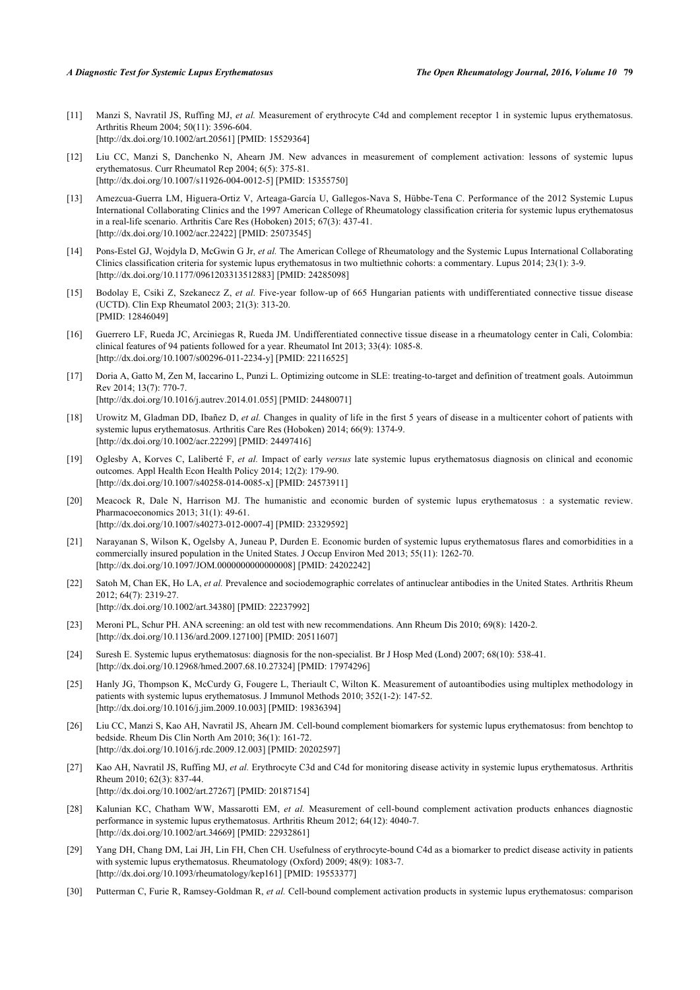- <span id="page-8-0"></span>[11] Manzi S, Navratil JS, Ruffing MJ, et al. Measurement of erythrocyte C4d and complement receptor 1 in systemic lupus erythematosus. Arthritis Rheum 2004; 50(11): 3596-604. [\[http://dx.doi.org/10.1002/art.20561](http://dx.doi.org/10.1002/art.20561)] [PMID: [15529364\]](http://www.ncbi.nlm.nih.gov/pubmed/15529364)
- <span id="page-8-1"></span>[12] Liu CC, Manzi S, Danchenko N, Ahearn JM. New advances in measurement of complement activation: lessons of systemic lupus erythematosus. Curr Rheumatol Rep 2004; 6(5): 375-81. [\[http://dx.doi.org/10.1007/s11926-004-0012-5\]](http://dx.doi.org/10.1007/s11926-004-0012-5) [PMID: [15355750](http://www.ncbi.nlm.nih.gov/pubmed/15355750)]
- <span id="page-8-2"></span>[13] Amezcua-Guerra LM, Higuera-Ortiz V, Arteaga-García U, Gallegos-Nava S, Hübbe-Tena C. Performance of the 2012 Systemic Lupus International Collaborating Clinics and the 1997 American College of Rheumatology classification criteria for systemic lupus erythematosus in a real-life scenario. Arthritis Care Res (Hoboken) 2015; 67(3): 437-41. [\[http://dx.doi.org/10.1002/acr.22422\]](http://dx.doi.org/10.1002/acr.22422) [PMID: [25073545](http://www.ncbi.nlm.nih.gov/pubmed/25073545)]
- <span id="page-8-3"></span>[14] Pons-Estel GJ, Wojdyla D, McGwin G Jr, *et al.* The American College of Rheumatology and the Systemic Lupus International Collaborating Clinics classification criteria for systemic lupus erythematosus in two multiethnic cohorts: a commentary. Lupus 2014; 23(1): 3-9. [\[http://dx.doi.org/10.1177/0961203313512883\]](http://dx.doi.org/10.1177/0961203313512883) [PMID: [24285098](http://www.ncbi.nlm.nih.gov/pubmed/24285098)]
- <span id="page-8-4"></span>[15] Bodolay E, Csiki Z, Szekanecz Z, *et al.* Five-year follow-up of 665 Hungarian patients with undifferentiated connective tissue disease (UCTD). Clin Exp Rheumatol 2003; 21(3): 313-20. [PMID: [12846049\]](http://www.ncbi.nlm.nih.gov/pubmed/12846049)
- <span id="page-8-5"></span>[16] Guerrero LF, Rueda JC, Arciniegas R, Rueda JM. Undifferentiated connective tissue disease in a rheumatology center in Cali, Colombia: clinical features of 94 patients followed for a year. Rheumatol Int 2013; 33(4): 1085-8. [\[http://dx.doi.org/10.1007/s00296-011-2234-y\]](http://dx.doi.org/10.1007/s00296-011-2234-y) [PMID: [22116525](http://www.ncbi.nlm.nih.gov/pubmed/22116525)]
- <span id="page-8-6"></span>[17] Doria A, Gatto M, Zen M, Iaccarino L, Punzi L. Optimizing outcome in SLE: treating-to-target and definition of treatment goals. Autoimmun Rev 2014; 13(7): 770-7. [\[http://dx.doi.org/10.1016/j.autrev.2014.01.055](http://dx.doi.org/10.1016/j.autrev.2014.01.055)] [PMID: [24480071\]](http://www.ncbi.nlm.nih.gov/pubmed/24480071)
- <span id="page-8-7"></span>[18] Urowitz M, Gladman DD, Ibañez D, *et al.* Changes in quality of life in the first 5 years of disease in a multicenter cohort of patients with systemic lupus erythematosus. Arthritis Care Res (Hoboken) 2014; 66(9): 1374-9. [\[http://dx.doi.org/10.1002/acr.22299\]](http://dx.doi.org/10.1002/acr.22299) [PMID: [24497416](http://www.ncbi.nlm.nih.gov/pubmed/24497416)]
- <span id="page-8-8"></span>[19] Oglesby A, Korves C, Laliberté F, *et al.* Impact of early *versus* late systemic lupus erythematosus diagnosis on clinical and economic outcomes. Appl Health Econ Health Policy 2014; 12(2): 179-90. [\[http://dx.doi.org/10.1007/s40258-014-0085-x\]](http://dx.doi.org/10.1007/s40258-014-0085-x) [PMID: [24573911](http://www.ncbi.nlm.nih.gov/pubmed/24573911)]
- [20] Meacock R, Dale N, Harrison MJ. The humanistic and economic burden of systemic lupus erythematosus : a systematic review. Pharmacoeconomics 2013; 31(1): 49-61. [\[http://dx.doi.org/10.1007/s40273-012-0007-4\]](http://dx.doi.org/10.1007/s40273-012-0007-4) [PMID: [23329592](http://www.ncbi.nlm.nih.gov/pubmed/23329592)]
- <span id="page-8-9"></span>[21] Narayanan S, Wilson K, Ogelsby A, Juneau P, Durden E. Economic burden of systemic lupus erythematosus flares and comorbidities in a commercially insured population in the United States. J Occup Environ Med 2013; 55(11): 1262-70. [\[http://dx.doi.org/10.1097/JOM.0000000000000008\]](http://dx.doi.org/10.1097/JOM.0000000000000008) [PMID: [24202242](http://www.ncbi.nlm.nih.gov/pubmed/24202242)]
- <span id="page-8-10"></span>[22] Satoh M, Chan EK, Ho LA, *et al.* Prevalence and sociodemographic correlates of antinuclear antibodies in the United States. Arthritis Rheum 2012; 64(7): 2319-27. [\[http://dx.doi.org/10.1002/art.34380](http://dx.doi.org/10.1002/art.34380)] [PMID: [22237992\]](http://www.ncbi.nlm.nih.gov/pubmed/22237992)
- <span id="page-8-11"></span>[23] Meroni PL, Schur PH. ANA screening: an old test with new recommendations. Ann Rheum Dis 2010; 69(8): 1420-2. [\[http://dx.doi.org/10.1136/ard.2009.127100](http://dx.doi.org/10.1136/ard.2009.127100)] [PMID: [20511607\]](http://www.ncbi.nlm.nih.gov/pubmed/20511607)
- <span id="page-8-12"></span>[24] Suresh E. Systemic lupus erythematosus: diagnosis for the non-specialist. Br J Hosp Med (Lond) 2007; 68(10): 538-41. [\[http://dx.doi.org/10.12968/hmed.2007.68.10.27324\]](http://dx.doi.org/10.12968/hmed.2007.68.10.27324) [PMID: [17974296](http://www.ncbi.nlm.nih.gov/pubmed/17974296)]
- <span id="page-8-13"></span>[25] Hanly JG, Thompson K, McCurdy G, Fougere L, Theriault C, Wilton K. Measurement of autoantibodies using multiplex methodology in patients with systemic lupus erythematosus. J Immunol Methods 2010; 352(1-2): 147-52. [\[http://dx.doi.org/10.1016/j.jim.2009.10.003\]](http://dx.doi.org/10.1016/j.jim.2009.10.003) [PMID: [19836394](http://www.ncbi.nlm.nih.gov/pubmed/19836394)]
- <span id="page-8-14"></span>[26] Liu CC, Manzi S, Kao AH, Navratil JS, Ahearn JM. Cell-bound complement biomarkers for systemic lupus erythematosus: from benchtop to bedside. Rheum Dis Clin North Am 2010; 36(1): 161-72. [\[http://dx.doi.org/10.1016/j.rdc.2009.12.003](http://dx.doi.org/10.1016/j.rdc.2009.12.003)] [PMID: [20202597\]](http://www.ncbi.nlm.nih.gov/pubmed/20202597)
- <span id="page-8-15"></span>[27] Kao AH, Navratil JS, Ruffing MJ, *et al.* Erythrocyte C3d and C4d for monitoring disease activity in systemic lupus erythematosus. Arthritis Rheum 2010; 62(3): 837-44. [\[http://dx.doi.org/10.1002/art.27267](http://dx.doi.org/10.1002/art.27267)] [PMID: [20187154\]](http://www.ncbi.nlm.nih.gov/pubmed/20187154)
- <span id="page-8-16"></span>[28] Kalunian KC, Chatham WW, Massarotti EM, *et al.* Measurement of cell-bound complement activation products enhances diagnostic performance in systemic lupus erythematosus. Arthritis Rheum 2012; 64(12): 4040-7. [\[http://dx.doi.org/10.1002/art.34669](http://dx.doi.org/10.1002/art.34669)] [PMID: [22932861\]](http://www.ncbi.nlm.nih.gov/pubmed/22932861)
- <span id="page-8-17"></span>[29] Yang DH, Chang DM, Lai JH, Lin FH, Chen CH. Usefulness of erythrocyte-bound C4d as a biomarker to predict disease activity in patients with systemic lupus erythematosus. Rheumatology (Oxford) 2009: 48(9): 1083-7. [\[http://dx.doi.org/10.1093/rheumatology/kep161](http://dx.doi.org/10.1093/rheumatology/kep161)] [PMID: [19553377\]](http://www.ncbi.nlm.nih.gov/pubmed/19553377)
- <span id="page-8-18"></span>[30] Putterman C, Furie R, Ramsey-Goldman R, *et al.* Cell-bound complement activation products in systemic lupus erythematosus: comparison